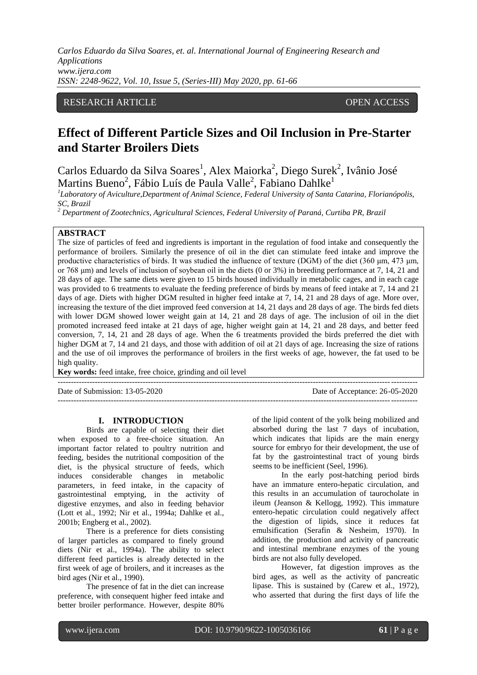*Carlos Eduardo da Silva Soares, et. al. International Journal of Engineering Research and Applications www.ijera.com ISSN: 2248-9622, Vol. 10, Issue 5, (Series-III) May 2020, pp. 61-66*

## RESEARCH ARTICLE **CONTRACT OPEN ACCESS**

# **Effect of Different Particle Sizes and Oil Inclusion in Pre-Starter and Starter Broilers Diets**

Carlos Eduardo da Silva Soares<sup>1</sup>, Alex Maiorka<sup>2</sup>, Diego Surek<sup>2</sup>, Ivânio José Martins Bueno<sup>2</sup>, Fábio Luís de Paula Valle<sup>2</sup>, Fabiano Dahlke<sup>1</sup>

*1 Laboratory of Aviculture,Department of Animal Science, Federal University of Santa Catarina, Florianópolis, SC, Brazil*

*<sup>2</sup> Department of Zootechnics, Agricultural Sciences, Federal University of Paraná, Curtiba PR, Brazil*

#### **ABSTRACT**

The size of particles of feed and ingredients is important in the regulation of food intake and consequently the performance of broilers. Similarly the presence of oil in the diet can stimulate feed intake and improve the productive characteristics of birds. It was studied the influence of texture (DGM) of the diet (360 μm, 473 μm, or 768  $\mu$ m) and levels of inclusion of soybean oil in the diets (0 or 3%) in breeding performance at 7, 14, 21 and 28 days of age. The same diets were given to 15 birds housed individually in metabolic cages, and in each cage was provided to 6 treatments to evaluate the feeding preference of birds by means of feed intake at 7, 14 and 21 days of age. Diets with higher DGM resulted in higher feed intake at 7, 14, 21 and 28 days of age. More over, increasing the texture of the diet improved feed conversion at 14, 21 days and 28 days of age. The birds fed diets with lower DGM showed lower weight gain at 14, 21 and 28 days of age. The inclusion of oil in the diet promoted increased feed intake at 21 days of age, higher weight gain at 14, 21 and 28 days, and better feed conversion, 7, 14, 21 and 28 days of age. When the 6 treatments provided the birds preferred the diet with higher DGM at 7, 14 and 21 days, and those with addition of oil at 21 days of age. Increasing the size of rations and the use of oil improves the performance of broilers in the first weeks of age, however, the fat used to be high quality.

---------------------------------------------------------------------------------------------------------------------------------------

---------------------------------------------------------------------------------------------------------------------------------------

**Key words:** feed intake, free choice, grinding and oil level

Date of Submission: 13-05-2020 Date of Acceptance: 26-05-2020

**I. INTRODUCTION**

Birds are capable of selecting their diet when exposed to a free-choice situation. An important factor related to poultry nutrition and feeding, besides the nutritional composition of the diet, is the physical structure of feeds, which induces considerable changes in metabolic parameters, in feed intake, in the capacity of gastrointestinal emptying, in the activity of digestive enzymes, and also in feeding behavior (Lott et al., 1992; Nir et al., 1994a; Dahlke et al., 2001b; Engberg et al., 2002).

There is a preference for diets consisting of larger particles as compared to finely ground diets (Nir et al., 1994a). The ability to select different feed particles is already detected in the first week of age of broilers, and it increases as the bird ages (Nir et al., 1990).

The presence of fat in the diet can increase preference, with consequent higher feed intake and better broiler performance. However, despite 80%

of the lipid content of the yolk being mobilized and absorbed during the last 7 days of incubation, which indicates that lipids are the main energy source for embryo for their development, the use of fat by the gastrointestinal tract of young birds seems to be inefficient (Seel, 1996).

In the early post-hatching period birds have an immature entero-hepatic circulation, and this results in an accumulation of taurocholate in ileum (Jeanson & Kellogg, 1992). This immature entero-hepatic circulation could negatively affect the digestion of lipids, since it reduces fat emulsification (Serafin & Nesheim, 1970). In addition, the production and activity of pancreatic and intestinal membrane enzymes of the young birds are not also fully developed.

However, fat digestion improves as the bird ages, as well as the activity of pancreatic lipase. This is sustained by (Carew et al., 1972), who asserted that during the first days of life the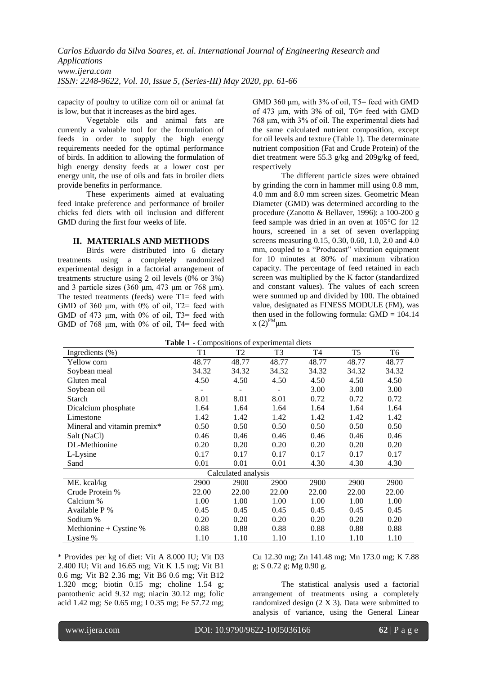capacity of poultry to utilize corn oil or animal fat is low, but that it increases as the bird ages.

Vegetable oils and animal fats are currently a valuable tool for the formulation of feeds in order to supply the high energy requirements needed for the optimal performance of birds. In addition to allowing the formulation of high energy density feeds at a lower cost per energy unit, the use of oils and fats in broiler diets provide benefits in performance.

These experiments aimed at evaluating feed intake preference and performance of broiler chicks fed diets with oil inclusion and different GMD during the first four weeks of life.

#### **II. MATERIALS AND METHODS**

Birds were distributed into 6 dietary treatments using a completely randomized experimental design in a factorial arrangement of treatments structure using 2 oil levels (0% or 3%) and 3 particle sizes (360 μm, 473 μm or 768 μm). The tested treatments (feeds) were T1= feed with GMD of 360 μm, with 0% of oil, T2= feed with GMD of 473  $\mu$ m, with 0% of oil, T3= feed with GMD of 768 μm, with 0% of oil, T4= feed with

GMD 360 um, with 3% of oil, T5= feed with GMD of 473 μm, with 3% of oil, T6= feed with GMD 768 μm, with 3% of oil. The experimental diets had the same calculated nutrient composition, except for oil levels and texture (Table 1). The determinate nutrient composition (Fat and Crude Protein) of the diet treatment were 55.3 g/kg and 209g/kg of feed, respectively

The different particle sizes were obtained by grinding the corn in hammer mill using 0.8 mm, 4.0 mm and 8.0 mm screen sizes. Geometric Mean Diameter (GMD) was determined according to the procedure (Zanotto & Bellaver, 1996): a 100-200 g feed sample was dried in an oven at 105°C for 12 hours, screened in a set of seven overlapping screens measuring 0.15, 0.30, 0.60, 1.0, 2.0 and 4.0 mm, coupled to a "Producast" vibration equipment for 10 minutes at 80% of maximum vibration capacity. The percentage of feed retained in each screen was multiplied by the K factor (standardized and constant values). The values of each screen were summed up and divided by 100. The obtained value, designated as FINESS MODULE (FM), was then used in the following formula:  $GMD = 104.14$  $x(2)^{FM}$ μm.

| Table 1 - Compositions of experimental diets |       |                |                |       |                |       |  |  |
|----------------------------------------------|-------|----------------|----------------|-------|----------------|-------|--|--|
| Ingredients (%)                              | T1    | T <sub>2</sub> | T <sub>3</sub> | T4    | T <sub>5</sub> | T6    |  |  |
| Yellow corn                                  | 48.77 | 48.77          | 48.77          | 48.77 | 48.77          | 48.77 |  |  |
| Soybean meal                                 | 34.32 | 34.32          | 34.32          | 34.32 | 34.32          | 34.32 |  |  |
| Gluten meal                                  | 4.50  | 4.50           | 4.50           | 4.50  | 4.50           | 4.50  |  |  |
| Soybean oil                                  |       |                |                | 3.00  | 3.00           | 3.00  |  |  |
| Starch                                       | 8.01  | 8.01           | 8.01           | 0.72  | 0.72           | 0.72  |  |  |
| Dicalcium phosphate                          | 1.64  | 1.64           | 1.64           | 1.64  | 1.64           | 1.64  |  |  |
| Limestone                                    | 1.42  | 1.42           | 1.42           | 1.42  | 1.42           | 1.42  |  |  |
| Mineral and vitamin premix*                  | 0.50  | 0.50           | 0.50           | 0.50  | 0.50           | 0.50  |  |  |
| Salt (NaCl)                                  | 0.46  | 0.46           | 0.46           | 0.46  | 0.46           | 0.46  |  |  |
| DL-Methionine                                | 0.20  | 0.20           | 0.20           | 0.20  | 0.20           | 0.20  |  |  |
| L-Lysine                                     | 0.17  | 0.17           | 0.17           | 0.17  | 0.17           | 0.17  |  |  |
| Sand                                         | 0.01  | 0.01           | 0.01           | 4.30  | 4.30           | 4.30  |  |  |
| Calculated analysis                          |       |                |                |       |                |       |  |  |
| ME. kcal/kg                                  | 2900  | 2900           | 2900           | 2900  | 2900           | 2900  |  |  |
| Crude Protein %                              | 22.00 | 22.00          | 22.00          | 22.00 | 22.00          | 22.00 |  |  |
| Calcium %                                    | 1.00  | 1.00           | 1.00           | 1.00  | 1.00           | 1.00  |  |  |
| Available P %                                | 0.45  | 0.45           | 0.45           | 0.45  | 0.45           | 0.45  |  |  |
| Sodium %                                     | 0.20  | 0.20           | 0.20           | 0.20  | 0.20           | 0.20  |  |  |
| Methionine + Cystine $%$                     | 0.88  | 0.88           | 0.88           | 0.88  | 0.88           | 0.88  |  |  |
| Lysine %                                     | 1.10  | 1.10           | 1.10           | 1.10  | 1.10           | 1.10  |  |  |

\* Provides per kg of diet: Vit A 8.000 IU; Vit D3 2.400 IU; Vit and 16.65 mg; Vit K 1.5 mg; Vit B1 0.6 mg; Vit B2 2.36 mg; Vit B6 0.6 mg; Vit B12 1.320 mcg; biotin 0.15 mg; choline 1.54 g; pantothenic acid 9.32 mg; niacin 30.12 mg; folic acid 1.42 mg; Se 0.65 mg; I 0.35 mg; Fe 57.72 mg;

Cu 12.30 mg; Zn 141.48 mg; Mn 173.0 mg; K 7.88 g; S 0.72 g; Mg 0.90 g.

The statistical analysis used a factorial arrangement of treatments using a completely randomized design (2 X 3). Data were submitted to analysis of variance, using the General Linear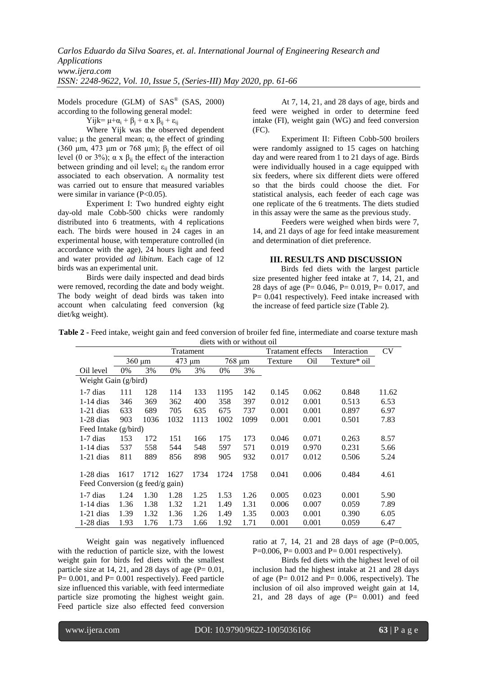Models procedure (GLM) of SAS® (SAS, 2000) according to the following general model:

Yijk=  $\mu + \alpha_i + \beta_i + \alpha x \beta_{ii} + \varepsilon_{ii}$ 

Where Yijk was the observed dependent value;  $\mu$  the general mean;  $\alpha_i$  the effect of grinding (360  $\mu$ m, 473  $\mu$ m or 768  $\mu$ m);  $\beta$ <sub>j</sub> the effect of oil level (0 or 3%); α x  $β_{ii}$  the effect of the interaction between grinding and oil level;  $\varepsilon_{ij}$  the random error associated to each observation. A normality test was carried out to ensure that measured variables were similar in variance (P<0.05).

Experiment I: Two hundred eighty eight day-old male Cobb-500 chicks were randomly distributed into 6 treatments, with 4 replications each. The birds were housed in 24 cages in an experimental house, with temperature controlled (in accordance with the age), 24 hours light and feed and water provided *ad libitum*. Each cage of 12 birds was an experimental unit.

Birds were daily inspected and dead birds were removed, recording the date and body weight. The body weight of dead birds was taken into account when calculating feed conversion (kg diet/kg weight).

At 7, 14, 21, and 28 days of age, birds and feed were weighed in order to determine feed intake (FI), weight gain (WG) and feed conversion (FC).

Experiment II: Fifteen Cobb-500 broilers were randomly assigned to 15 cages on hatching day and were reared from 1 to 21 days of age. Birds were individually housed in a cage equipped with six feeders, where six different diets were offered so that the birds could choose the diet. For statistical analysis, each feeder of each cage was one replicate of the 6 treatments. The diets studied in this assay were the same as the previous study.

Feeders were weighed when birds were 7, 14, and 21 days of age for feed intake measurement and determination of diet preference.

### **III. RESULTS AND DISCUSSION**

Birds fed diets with the largest particle size presented higher feed intake at 7, 14, 21, and 28 days of age (P= 0.046, P= 0.019, P= 0.017, and  $P = 0.041$  respectively). Feed intake increased with the increase of feed particle size (Table 2).

|  | Table 2 - Feed intake, weight gain and feed conversion of broiler fed fine, intermediate and coarse texture mash |                           |  |  |  |
|--|------------------------------------------------------------------------------------------------------------------|---------------------------|--|--|--|
|  |                                                                                                                  | diets with or without oil |  |  |  |

|                                 | Tratament |             |      |        |      |        | Tratament effects |                 | Interaction  | <b>CV</b> |
|---------------------------------|-----------|-------------|------|--------|------|--------|-------------------|-----------------|--------------|-----------|
|                                 |           | $360 \mu m$ |      | 473 µm |      | 768 µm | Texture           | O <sub>il</sub> | Texture* oil |           |
| Oil level                       | $0\%$     | 3%          | 0%   | 3%     | 0%   | 3%     |                   |                 |              |           |
| Weight Gain (g/bird)            |           |             |      |        |      |        |                   |                 |              |           |
| $1-7$ dias                      | 111       | 128         | 114  | 133    | 1195 | 142    | 0.145             | 0.062           | 0.848        | 11.62     |
| $1-14$ dias                     | 346       | 369         | 362  | 400    | 358  | 397    | 0.012             | 0.001           | 0.513        | 6.53      |
| $1-21$ dias                     | 633       | 689         | 705  | 635    | 675  | 737    | 0.001             | 0.001           | 0.897        | 6.97      |
| $1-28$ dias                     | 903       | 1036        | 1032 | 1113   | 1002 | 1099   | 0.001             | 0.001           | 0.501        | 7.83      |
| Feed Intake (g/bird)            |           |             |      |        |      |        |                   |                 |              |           |
| $1-7$ dias                      | 153       | 172         | 151  | 166    | 175  | 173    | 0.046             | 0.071           | 0.263        | 8.57      |
| $1-14$ dias                     | 537       | 558         | 544  | 548    | 597  | 571    | 0.019             | 0.970           | 0.231        | 5.66      |
| $1-21$ dias                     | 811       | 889         | 856  | 898    | 905  | 932    | 0.017             | 0.012           | 0.506        | 5.24      |
| $1-28$ dias                     | 1617      | 1712        | 1627 | 1734   | 1724 | 1758   | 0.041             | 0.006           | 0.484        | 4.61      |
| Feed Conversion (g feed/g gain) |           |             |      |        |      |        |                   |                 |              |           |
| $1-7$ dias                      | 1.24      | 1.30        | 1.28 | 1.25   | 1.53 | 1.26   | 0.005             | 0.023           | 0.001        | 5.90      |
| $1-14$ dias                     | 1.36      | 1.38        | 1.32 | 1.21   | 1.49 | 1.31   | 0.006             | 0.007           | 0.059        | 7.89      |
| $1-21$ dias                     | 1.39      | 1.32        | 1.36 | 1.26   | 1.49 | 1.35   | 0.003             | 0.001           | 0.390        | 6.05      |
| $1-28$ dias                     | 1.93      | 1.76        | 1.73 | 1.66   | 1.92 | 1.71   | 0.001             | 0.001           | 0.059        | 6.47      |

Weight gain was negatively influenced with the reduction of particle size, with the lowest weight gain for birds fed diets with the smallest particle size at 14, 21, and 28 days of age  $(P= 0.01,$  $P= 0.001$ , and  $P= 0.001$  respectively). Feed particle size influenced this variable, with feed intermediate particle size promoting the highest weight gain. Feed particle size also effected feed conversion

ratio at 7, 14, 21 and 28 days of age  $(P=0.005,$ P=0.006, P= 0.003 and P= 0.001 respectively).

Birds fed diets with the highest level of oil inclusion had the highest intake at 21 and 28 days of age  $(P = 0.012$  and  $P = 0.006$ , respectively). The inclusion of oil also improved weight gain at 14, 21, and 28 days of age (P= 0.001) and feed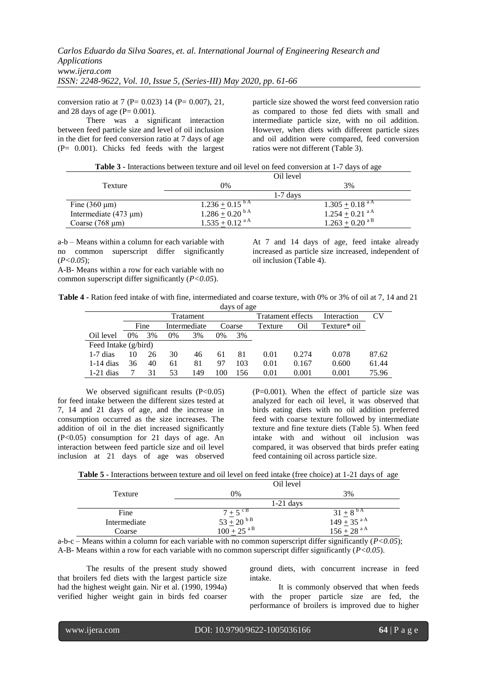conversion ratio at 7 ( $P = 0.023$ ) 14 ( $P = 0.007$ ), 21, and 28 days of age  $(P= 0.001)$ .

There was a significant interaction between feed particle size and level of oil inclusion in the diet for feed conversion ratio at 7 days of age  $(P= 0.001)$ . Chicks fed feeds with the largest particle size showed the worst feed conversion ratio as compared to those fed diets with small and intermediate particle size, with no oil addition. However, when diets with different particle sizes and oil addition were compared, feed conversion ratios were not different (Table 3).

**Table 3 -** Interactions between texture and oil level on feed conversion at 1-7 days of age  $\Omega$ <sup>'11</sup> <sup>1</sup>

|                            | UIL IEVEI                       |                                |  |  |
|----------------------------|---------------------------------|--------------------------------|--|--|
| Texture                    | 0%                              | 3%                             |  |  |
|                            | $1-7$ days                      |                                |  |  |
| Fine $(360 \mu m)$         | $1.236 \pm 0.15$ <sup>b A</sup> | $1.305 + 0.18$ <sup>aA</sup>   |  |  |
| Intermediate $(473 \mu m)$ | $1.286 \pm 0.20$ <sup>b A</sup> | $1.254 \pm 0.21$ <sup>aA</sup> |  |  |
| Coarse $(768 \mu m)$       | $1.535 + 0.12$ <sup>aA</sup>    | $1.263 + 0.20$ <sup>aB</sup>   |  |  |

a-b – Means within a column for each variable with no common superscript differ significantly (*P<0.05*);

A-B- Means within a row for each variable with no common superscript differ significantly (*P<0.05*).

At 7 and 14 days of age, feed intake already increased as particle size increased, independent of oil inclusion (Table 4).

**Table 4 -** Ration feed intake of with fine, intermediated and coarse texture, with 0% or 3% of oil at 7, 14 and 21 days of age

|                      | Tratament |      |    |              |     |        | <b>Tratament effects</b> |       | Interaction  | CV    |
|----------------------|-----------|------|----|--------------|-----|--------|--------------------------|-------|--------------|-------|
|                      |           | Fine |    | Intermediate |     | Coarse | Texture                  | Oil   | Texture* oil |       |
| Oil level            | $0\%$     | 3%   | 0% | 3%           | 0%  | 3%     |                          |       |              |       |
| Feed Intake (g/bird) |           |      |    |              |     |        |                          |       |              |       |
| $1-7$ dias           | 10        | 26   | 30 | 46           | 61  | 81     | 0.01                     | 0.274 | 0.078        | 87.62 |
| $1-14$ dias          | 36        | 40   | 61 | 81           | 97  | 103    | 0.01                     | 0.167 | 0.600        | 61.44 |
| $1-21$ dias          |           | 31   | 53 | 149          | 100 | 156    | 0.01                     | 0.001 | 0.001        | 75.96 |

We observed significant results  $(P<0.05)$ for feed intake between the different sizes tested at 7, 14 and 21 days of age, and the increase in consumption occurred as the size increases. The addition of oil in the diet increased significantly (P<0.05) consumption for 21 days of age. An interaction between feed particle size and oil level inclusion at 21 days of age was observed  $(P=0.001)$ . When the effect of particle size was analyzed for each oil level, it was observed that birds eating diets with no oil addition preferred feed with coarse texture followed by intermediate texture and fine texture diets (Table 5). When feed intake with and without oil inclusion was compared, it was observed that birds prefer eating feed containing oil across particle size.

| Table 5 - Interactions between texture and oil level on feed intake (free choice) at 1-21 days of age |  |
|-------------------------------------------------------------------------------------------------------|--|
|-------------------------------------------------------------------------------------------------------|--|

|                                           | Oil level                                                              |                                                                                               |  |  |  |
|-------------------------------------------|------------------------------------------------------------------------|-----------------------------------------------------------------------------------------------|--|--|--|
| Texture                                   | 0%                                                                     | 3%                                                                                            |  |  |  |
|                                           | $1-21$ days                                                            |                                                                                               |  |  |  |
| Fine                                      | $7 \pm 5^{\circ B}$<br>$53 \pm 20^{\circ B}$<br>$100 \pm 25^{\circ B}$ | $\frac{31 \pm 8^{bA}}{149 \pm 35^{aA}}$<br>149 ± 35 <sup>a A</sup><br>156 ± 28 <sup>a A</sup> |  |  |  |
| Intermediate                              |                                                                        |                                                                                               |  |  |  |
| Coarse                                    |                                                                        |                                                                                               |  |  |  |
| $\cdot$ $\cdot$ $\cdot$<br>$\sim$<br>$ -$ | .                                                                      | $\cdot$ $\cdot$ $\cdot$ $\cdot$<br>$\sim$ $\sim$<br>.<br>. .                                  |  |  |  |

a-b-c – Means within a column for each variable with no common superscript differ significantly (*P<0.05*); A-B- Means within a row for each variable with no common superscript differ significantly (*P<0.05*).

The results of the present study showed that broilers fed diets with the largest particle size had the highest weight gain. Nir et al. (1990, 1994a) verified higher weight gain in birds fed coarser ground diets, with concurrent increase in feed intake.

It is commonly observed that when feeds with the proper particle size are fed, the performance of broilers is improved due to higher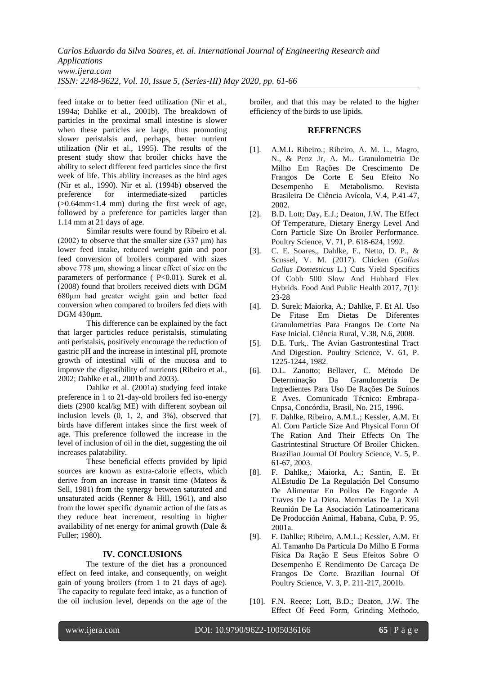*Carlos Eduardo da Silva Soares, et. al. International Journal of Engineering Research and Applications www.ijera.com ISSN: 2248-9622, Vol. 10, Issue 5, (Series-III) May 2020, pp. 61-66*

feed intake or to better feed utilization (Nir et al., 1994a; Dahlke et al., 2001b). The breakdown of particles in the proximal small intestine is slower when these particles are large, thus promoting slower peristalsis and, perhaps, better nutrient utilization (Nir et al., 1995). The results of the present study show that broiler chicks have the ability to select different feed particles since the first week of life. This ability increases as the bird ages (Nir et al., 1990). Nir et al. (1994b) observed the preference for intermediate-sized particles preference for intermediate-sized (>0.64mm<1.4 mm) during the first week of age, followed by a preference for particles larger than 1.14 mm at 21 days of age.

Similar results were found by Ribeiro et al. (2002) to observe that the smaller size (337  $\mu$ m) has lower feed intake, reduced weight gain and poor feed conversion of broilers compared with sizes above 778 μm, showing a linear effect of size on the parameters of performance (  $P<0.01$ ). Surek et al. (2008) found that broilers received diets with DGM 680μm had greater weight gain and better feed conversion when compared to broilers fed diets with DGM 430μm.

This difference can be explained by the fact that larger particles reduce peristalsis, stimulating anti peristalsis, positively encourage the reduction of gastric pH and the increase in intestinal pH, promote growth of intestinal villi of the mucosa and to improve the digestibility of nutrients (Ribeiro et al., 2002; Dahlke et al., 2001b and 2003).

Dahlke et al. (2001a) studying feed intake preference in 1 to 21-day-old broilers fed iso-energy diets (2900 kcal/kg ME) with different soybean oil inclusion levels (0, 1, 2, and 3%), observed that birds have different intakes since the first week of age. This preference followed the increase in the level of inclusion of oil in the diet, suggesting the oil increases palatability.

These beneficial effects provided by lipid sources are known as extra-calorie effects, which derive from an increase in transit time (Mateos & Sell, 1981) from the synergy between saturated and unsaturated acids (Renner  $&$  Hill, 1961), and also from the lower specific dynamic action of the fats as they reduce heat increment, resulting in higher availability of net energy for animal growth (Dale & Fuller; 1980).

#### **IV. CONCLUSIONS**

The texture of the diet has a pronounced effect on feed intake, and consequently, on weight gain of young broilers (from 1 to 21 days of age). The capacity to regulate feed intake, as a function of the oil inclusion level, depends on the age of the broiler, and that this may be related to the higher efficiency of the birds to use lipids.

#### **REFRENCES**

- [1]. A.M.L Ribeiro.; Ribeiro, A. M. L., Magro, N., & Penz Jr, A. M.. Granulometria De Milho Em Rações De Crescimento De Frangos De Corte E Seu Efeito No Desempenho E Metabolismo. Revista Brasileira De Ciência Avícola, V.4, P.41-47, 2002.
- [2]. B.D. Lott; Day, E.J.; Deaton, J.W. The Effect Of Temperature, Dietary Energy Level And Corn Particle Size On Broiler Performance. Poultry Science, V. 71, P. 618-624, 1992.
- [3]. C. E. Soares,, Dahlke, F., Netto, D. P., & Scussel, V. M. (2017). Chicken (*Gallus Gallus Domesticus* L.) Cuts Yield Specifics Of Cobb 500 Slow And Hubbard Flex Hybrids. Food And Public Health 2017, 7(1): 23-28
- [4]. D. Surek; Maiorka, A.; Dahlke, F. Et Al. Uso De Fitase Em Dietas De Diferentes Granulometrias Para Frangos De Corte Na Fase Inicial. Ciência Rural, V.38, N.6, 2008.
- [5]. D.E. Turk,. The Avian Gastrontestinal Tract And Digestion. Poultry Science, V. 61, P. 1225-1244, 1982.
- [6]. D.L. Zanotto; Bellaver, C. Método De Determinação Da Granulometria De Ingredientes Para Uso De Rações De Suínos E Aves. Comunicado Técnico: Embrapa-Cnpsa, Concórdia, Brasil, No. 215, 1996.
- [7]. F. Dahlke, Ribeiro, A.M.L.; Kessler, A.M. Et Al. Corn Particle Size And Physical Form Of The Ration And Their Effects On The Gastrintestinal Structure Of Broiler Chicken. Brazilian Journal Of Poultry Science, V. 5, P. 61-67, 2003.
- [8]. F. Dahlke,; Maiorka, A.; Santin, E. Et Al*.*Estudio De La Regulación Del Consumo De Alimentar En Pollos De Engorde A Traves De La Dieta. Memorias De La Xvii Reunión De La Asociación Latinoamericana De Producción Animal, Habana, Cuba, P. 95, 2001a.
- [9]. F. Dahlke; Ribeiro, A.M.L.; Kessler, A.M. Et Al. Tamanho Da Partícula Do Milho E Forma Física Da Ração E Seus Efeitos Sobre O Desempenho E Rendimento De Carcaça De Frangos De Corte. Brazilian Journal Of Poultry Science, V. 3, P. 211-217, 2001b.
- [10]. F.N. Reece; Lott, B.D.; Deaton, J.W. The Effect Of Feed Form, Grinding Methodo,